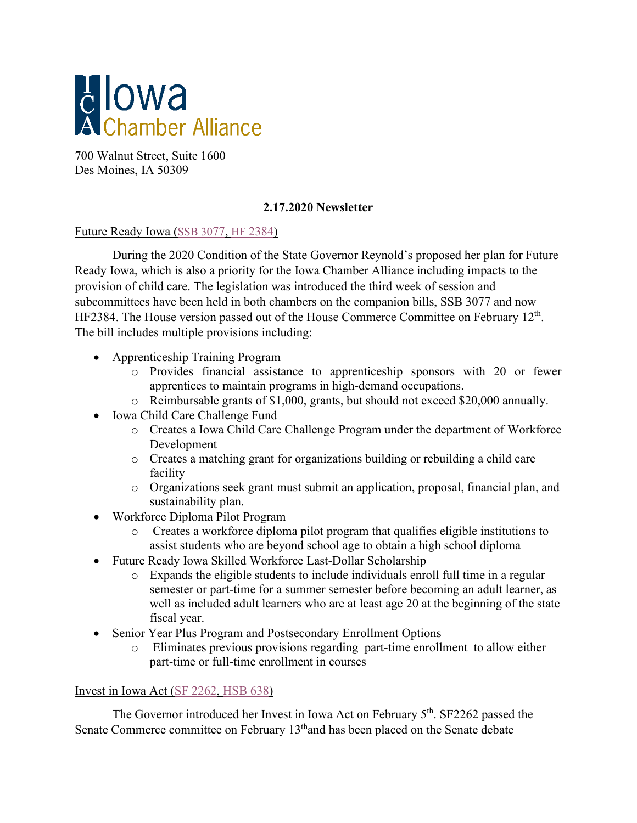

700 Walnut Street, Suite 1600 Des Moines, IA 50309

## **2.17.2020 Newsletter**

## Future Ready Iowa [\(SSB 3077,](https://www.legis.iowa.gov/legislation/BillBook?ga=%24selectedGa.generalAssemblyID&ba=ssb3077) HF [2384\)](https://www.legis.iowa.gov/legislation/BillBook?ga=88&ba=HF%202384)

During the 2020 Condition of the State Governor Reynold's proposed her plan for Future Ready Iowa, which is also a priority for the Iowa Chamber Alliance including impacts to the provision of child care. The legislation was introduced the third week of session and subcommittees have been held in both chambers on the companion bills, SSB 3077 and now HF2384. The House version passed out of the House Commerce Committee on February 12<sup>th</sup>. The bill includes multiple provisions including:

- Apprenticeship Training Program
	- o Provides financial assistance to apprenticeship sponsors with 20 or fewer apprentices to maintain programs in high-demand occupations.
	- o Reimbursable grants of \$1,000, grants, but should not exceed \$20,000 annually.
- Iowa Child Care Challenge Fund
	- o Creates a Iowa Child Care Challenge Program under the department of Workforce Development
	- o Creates a matching grant for organizations building or rebuilding a child care facility
	- o Organizations seek grant must submit an application, proposal, financial plan, and sustainability plan.
- Workforce Diploma Pilot Program
	- o Creates a workforce diploma pilot program that qualifies eligible institutions to assist students who are beyond school age to obtain a high school diploma
- Future Ready Iowa Skilled Workforce Last-Dollar Scholarship
	- o Expands the eligible students to include individuals enroll full time in a regular semester or part-time for a summer semester before becoming an adult learner, as well as included adult learners who are at least age 20 at the beginning of the state fiscal year.
- Senior Year Plus Program and Postsecondary Enrollment Options
	- o Eliminates previous provisions regarding part-time enrollment to allow either part-time or full-time enrollment in courses

## Invest in Iowa Act [\(SF 2262,](https://www.legis.iowa.gov/legislation/BillBook?ga=88&ba=SF%202262) [HSB 638\)](https://www.legis.iowa.gov/legislation/BillBook?ba=HSB%20638&ga=88)

The Governor introduced her Invest in Iowa Act on February 5<sup>th</sup>. SF2262 passed the Senate Commerce committee on February 13<sup>th</sup>and has been placed on the Senate debate